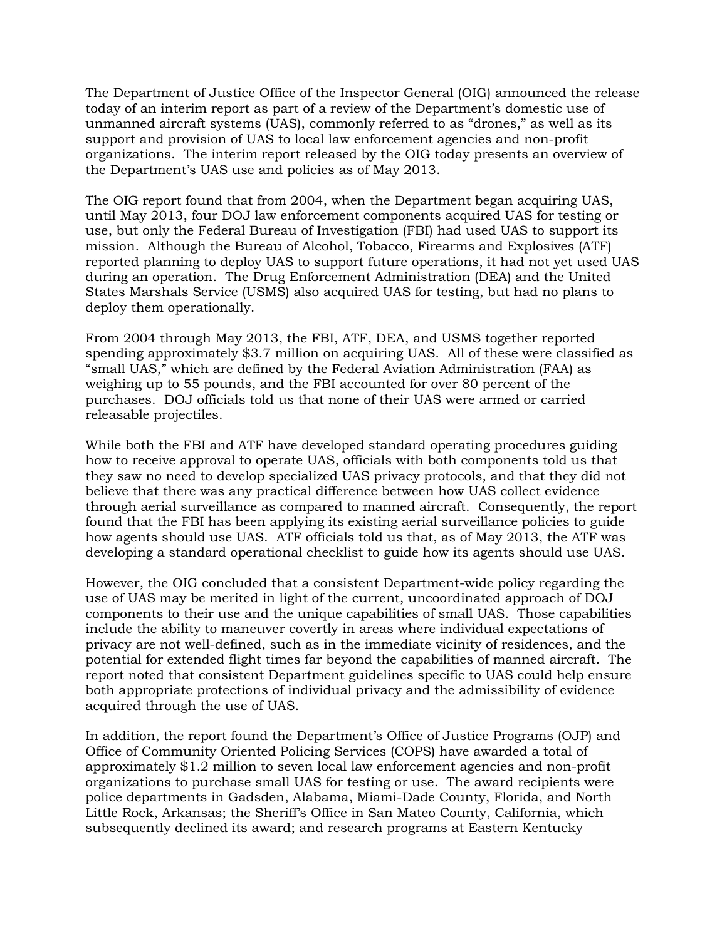The Department of Justice Office of the Inspector General (OIG) announced the release today of an interim report as part of a review of the Department's domestic use of unmanned aircraft systems (UAS), commonly referred to as "drones," as well as its support and provision of UAS to local law enforcement agencies and non-profit organizations. The interim report released by the OIG today presents an overview of the Department's UAS use and policies as of May 2013.

The OIG report found that from 2004, when the Department began acquiring UAS, until May 2013, four DOJ law enforcement components acquired UAS for testing or use, but only the Federal Bureau of Investigation (FBI) had used UAS to support its mission. Although the Bureau of Alcohol, Tobacco, Firearms and Explosives (ATF) reported planning to deploy UAS to support future operations, it had not yet used UAS during an operation. The Drug Enforcement Administration (DEA) and the United States Marshals Service (USMS) also acquired UAS for testing, but had no plans to deploy them operationally.

From 2004 through May 2013, the FBI, ATF, DEA, and USMS together reported spending approximately \$3.7 million on acquiring UAS. All of these were classified as "small UAS," which are defined by the Federal Aviation Administration (FAA) as weighing up to 55 pounds, and the FBI accounted for over 80 percent of the purchases. DOJ officials told us that none of their UAS were armed or carried releasable projectiles.

While both the FBI and ATF have developed standard operating procedures guiding how to receive approval to operate UAS, officials with both components told us that they saw no need to develop specialized UAS privacy protocols, and that they did not believe that there was any practical difference between how UAS collect evidence through aerial surveillance as compared to manned aircraft. Consequently, the report found that the FBI has been applying its existing aerial surveillance policies to guide how agents should use UAS. ATF officials told us that, as of May 2013, the ATF was developing a standard operational checklist to guide how its agents should use UAS.

However, the OIG concluded that a consistent Department-wide policy regarding the use of UAS may be merited in light of the current, uncoordinated approach of DOJ components to their use and the unique capabilities of small UAS. Those capabilities include the ability to maneuver covertly in areas where individual expectations of privacy are not well-defined, such as in the immediate vicinity of residences, and the potential for extended flight times far beyond the capabilities of manned aircraft. The report noted that consistent Department guidelines specific to UAS could help ensure both appropriate protections of individual privacy and the admissibility of evidence acquired through the use of UAS.

In addition, the report found the Department's Office of Justice Programs (OJP) and Office of Community Oriented Policing Services (COPS) have awarded a total of approximately \$1.2 million to seven local law enforcement agencies and non-profit organizations to purchase small UAS for testing or use. The award recipients were police departments in Gadsden, Alabama, Miami-Dade County, Florida, and North Little Rock, Arkansas; the Sheriff's Office in San Mateo County, California, which subsequently declined its award; and research programs at Eastern Kentucky